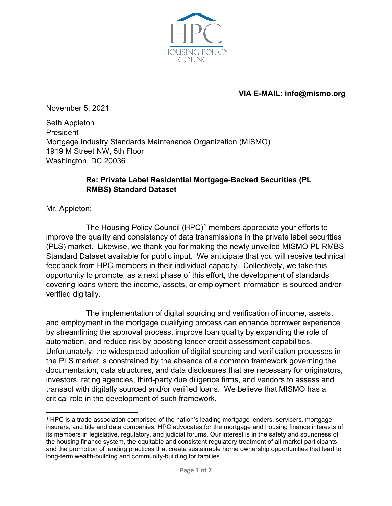

## **VIA E-MAIL: info@mismo.org**

November 5, 2021

Seth Appleton President Mortgage Industry Standards Maintenance Organization (MISMO) 1919 M Street NW, 5th Floor Washington, DC 20036

## **Re: Private Label Residential Mortgage-Backed Securities (PL RMBS) Standard Dataset**

Mr. Appleton:

The Housing Policy Council  $(HPC)^1$  $(HPC)^1$  members appreciate your efforts to improve the quality and consistency of data transmissions in the private label securities (PLS) market. Likewise, we thank you for making the newly unveiled MISMO PL RMBS Standard Dataset available for public input. We anticipate that you will receive technical feedback from HPC members in their individual capacity. Collectively, we take this opportunity to promote, as a next phase of this effort, the development of standards covering loans where the income, assets, or employment information is sourced and/or verified digitally.

The implementation of digital sourcing and verification of income, assets, and employment in the mortgage qualifying process can enhance borrower experience by streamlining the approval process, improve loan quality by expanding the role of automation, and reduce risk by boosting lender credit assessment capabilities. Unfortunately, the widespread adoption of digital sourcing and verification processes in the PLS market is constrained by the absence of a common framework governing the documentation, data structures, and data disclosures that are necessary for originators, investors, rating agencies, third-party due diligence firms, and vendors to assess and transact with digitally sourced and/or verified loans. We believe that MISMO has a critical role in the development of such framework.

<span id="page-0-0"></span><sup>1</sup> HPC is a trade association comprised of the nation's leading mortgage lenders, servicers, mortgage insurers, and title and data companies. HPC advocates for the mortgage and housing finance interests of its members in legislative, regulatory, and judicial forums. Our interest is in the safety and soundness of the housing finance system, the equitable and consistent regulatory treatment of all market participants, and the promotion of lending practices that create sustainable home ownership opportunities that lead to long-term wealth-building and community-building for families.